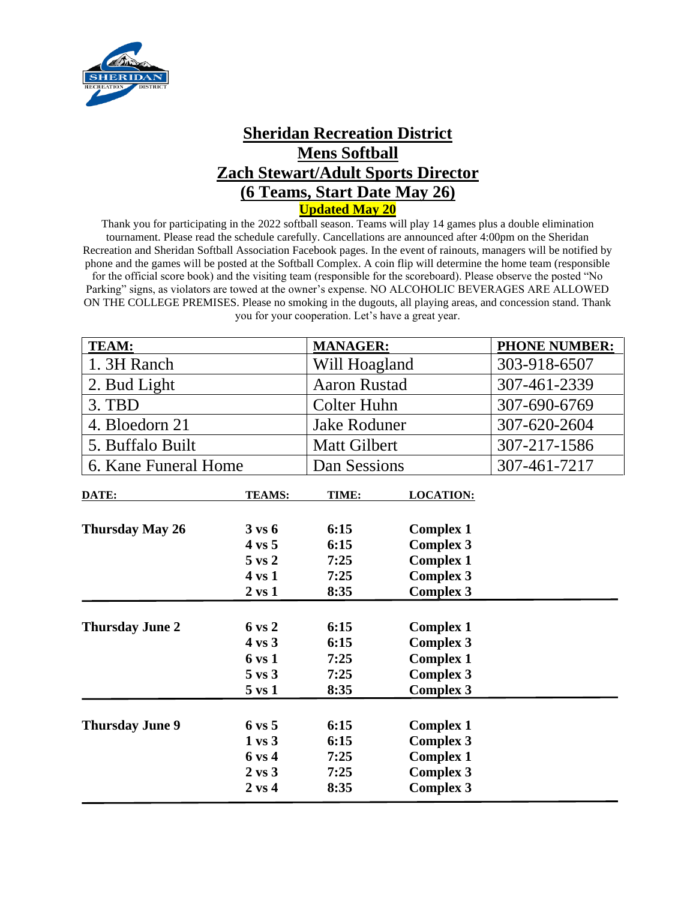

## **Sheridan Recreation District Mens Softball Zach Stewart/Adult Sports Director (6 Teams, Start Date May 26) Updated May 20**

Thank you for participating in the 2022 softball season. Teams will play 14 games plus a double elimination tournament. Please read the schedule carefully. Cancellations are announced after 4:00pm on the Sheridan Recreation and Sheridan Softball Association Facebook pages. In the event of rainouts, managers will be notified by phone and the games will be posted at the Softball Complex. A coin flip will determine the home team (responsible for the official score book) and the visiting team (responsible for the scoreboard). Please observe the posted "No Parking" signs, as violators are towed at the owner's expense. NO ALCOHOLIC BEVERAGES ARE ALLOWED ON THE COLLEGE PREMISES. Please no smoking in the dugouts, all playing areas, and concession stand. Thank you for your cooperation. Let's have a great year.

| <b>TEAM:</b>           |                   | <b>MANAGER:</b>     |                  | <b>PHONE NUMBER:</b> |
|------------------------|-------------------|---------------------|------------------|----------------------|
| 1. 3H Ranch            |                   | Will Hoagland       |                  | 303-918-6507         |
| 2. Bud Light           |                   | <b>Aaron Rustad</b> |                  | 307-461-2339         |
| 3. TBD                 |                   | <b>Colter Huhn</b>  |                  | 307-690-6769         |
| 4. Bloedorn 21         |                   | <b>Jake Roduner</b> |                  | 307-620-2604         |
| 5. Buffalo Built       |                   | <b>Matt Gilbert</b> |                  | 307-217-1586         |
| 6. Kane Funeral Home   |                   | Dan Sessions        |                  | 307-461-7217         |
| DATE:                  | <b>TEAMS:</b>     | TIME:               | <b>LOCATION:</b> |                      |
| <b>Thursday May 26</b> | $3 \text{ vs } 6$ | 6:15                | <b>Complex 1</b> |                      |
|                        | $4 \text{ vs } 5$ | 6:15                | <b>Complex 3</b> |                      |
|                        | $5 \text{ vs } 2$ | 7:25                | <b>Complex 1</b> |                      |
|                        | $4 \text{ vs } 1$ | 7:25                | <b>Complex 3</b> |                      |
|                        | $2 \text{ vs } 1$ | 8:35                | <b>Complex 3</b> |                      |
| <b>Thursday June 2</b> | $6 \text{ vs } 2$ | 6:15                | <b>Complex 1</b> |                      |
|                        | $4 \text{ vs } 3$ | 6:15                | <b>Complex 3</b> |                      |
|                        | 6 vs 1            | 7:25                | <b>Complex 1</b> |                      |
|                        | $5 \text{ vs } 3$ | 7:25                | <b>Complex 3</b> |                      |
|                        | $5$ vs $1$        | 8:35                | <b>Complex 3</b> |                      |
|                        |                   |                     |                  |                      |
| <b>Thursday June 9</b> | $6 \text{ vs } 5$ | 6:15                | <b>Complex 1</b> |                      |
|                        | $1 \text{ vs } 3$ | 6:15                | <b>Complex 3</b> |                      |
|                        | 6 vs 4            | 7:25                | <b>Complex 1</b> |                      |
|                        | $2 \text{ vs } 3$ | 7:25                | <b>Complex 3</b> |                      |
|                        | $2 \text{ vs } 4$ | 8:35                | <b>Complex 3</b> |                      |